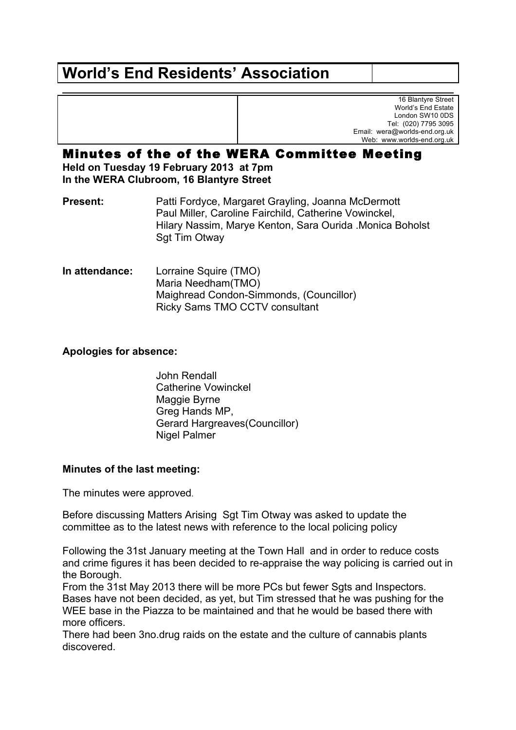# **World's End Residents' Association**

16 Blantyre Street World's End Estate London SW10 0DS Tel: (020) 7795 3095 Email: wera@worlds-end.org.uk Web: www.worlds-end.org.uk

## Minutes of the of the WERA Committee Meeting

**Held on Tuesday 19 February 2013 at 7pm In the WERA Clubroom, 16 Blantyre Street**

**Present:** Patti Fordyce, Margaret Grayling, Joanna McDermott Paul Miller, Caroline Fairchild, Catherine Vowinckel, Hilary Nassim, Marye Kenton, Sara Ourida .Monica Boholst Sgt Tim Otway

**In attendance:** Lorraine Squire (TMO) Maria Needham(TMO) Maighread Condon-Simmonds, (Councillor) Ricky Sams TMO CCTV consultant

## **Apologies for absence:**

John Rendall Catherine Vowinckel Maggie Byrne Greg Hands MP, Gerard Hargreaves(Councillor) Nigel Palmer

### **Minutes of the last meeting:**

The minutes were approved.

Before discussing Matters Arising Sgt Tim Otway was asked to update the committee as to the latest news with reference to the local policing policy

Following the 31st January meeting at the Town Hall and in order to reduce costs and crime figures it has been decided to re-appraise the way policing is carried out in the Borough.

From the 31st May 2013 there will be more PCs but fewer Sgts and Inspectors. Bases have not been decided, as yet, but Tim stressed that he was pushing for the WEE base in the Piazza to be maintained and that he would be based there with more officers.

There had been 3no.drug raids on the estate and the culture of cannabis plants discovered.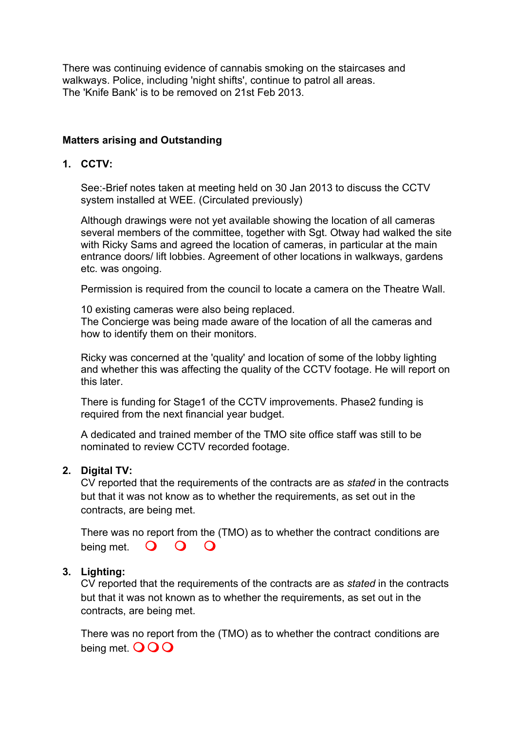There was continuing evidence of cannabis smoking on the staircases and walkways. Police, including 'night shifts', continue to patrol all areas. The 'Knife Bank' is to be removed on 21st Feb 2013.

## **Matters arising and Outstanding**

#### **1. CCTV:**

See:-Brief notes taken at meeting held on 30 Jan 2013 to discuss the CCTV system installed at WEE. (Circulated previously)

Although drawings were not yet available showing the location of all cameras several members of the committee, together with Sgt. Otway had walked the site with Ricky Sams and agreed the location of cameras, in particular at the main entrance doors/ lift lobbies. Agreement of other locations in walkways, gardens etc. was ongoing.

Permission is required from the council to locate a camera on the Theatre Wall.

10 existing cameras were also being replaced. The Concierge was being made aware of the location of all the cameras and how to identify them on their monitors.

Ricky was concerned at the 'quality' and location of some of the lobby lighting and whether this was affecting the quality of the CCTV footage. He will report on this later.

There is funding for Stage1 of the CCTV improvements. Phase2 funding is required from the next financial year budget.

A dedicated and trained member of the TMO site office staff was still to be nominated to review CCTV recorded footage.

### **2. Digital TV:**

CV reported that the requirements of the contracts are as *stated* in the contracts but that it was not know as to whether the requirements, as set out in the contracts, are being met.

There was no report from the (TMO) as to whether the contract conditions are being met.  $\bullet$   $\bullet$   $\bullet$   $\bullet$ 

### **3. Lighting:**

CV reported that the requirements of the contracts are as *stated* in the contracts but that it was not known as to whether the requirements, as set out in the contracts, are being met.

There was no report from the (TMO) as to whether the contract conditions are being met.  $OO$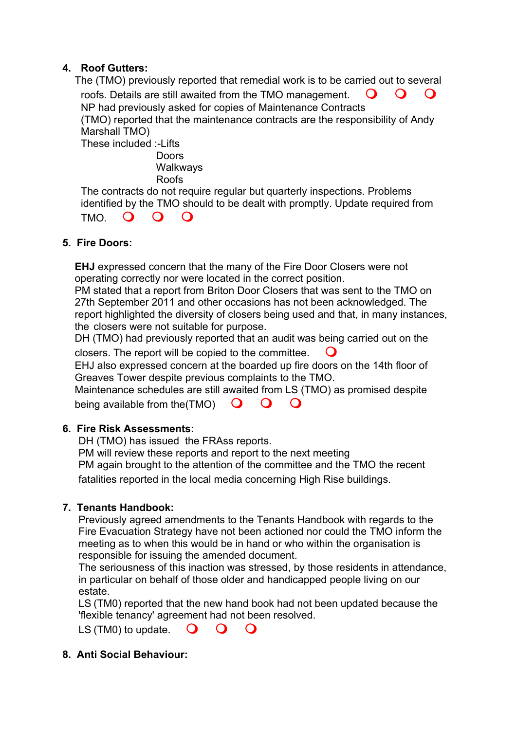## **4. Roof Gutters:**

The (TMO) previously reported that remedial work is to be carried out to several roofs. Details are still awaited from the TMO management.  $\bigcirc$   $\bigcirc$   $\bigcirc$ NP had previously asked for copies of Maintenance Contracts (TMO) reported that the maintenance contracts are the responsibility of Andy Marshall TMO) These included :-Lifts

**Doors Walkwavs** Roofs

The contracts do not require regular but quarterly inspections. Problems identified by the TMO should to be dealt with promptly. Update required from

## $TMO$   $O$   $O$

## **5. Fire Doors:**

**EHJ** expressed concern that the many of the Fire Door Closers were not operating correctly nor were located in the correct position.

PM stated that a report from Briton Door Closers that was sent to the TMO on 27th September 2011 and other occasions has not been acknowledged. The report highlighted the diversity of closers being used and that, in many instances, the closers were not suitable for purpose.

DH (TMO) had previously reported that an audit was being carried out on the closers. The report will be copied to the committee.  $\Box$ 

EHJ also expressed concern at the boarded up fire doors on the 14th floor of Greaves Tower despite previous complaints to the TMO.

Maintenance schedules are still awaited from LS (TMO) as promised despite being available from the  $(TMO)$   $\bullet$   $\bullet$   $\bullet$ 

### **6. Fire Risk Assessments:**

DH (TMO) has issued the FRAss reports.

PM will review these reports and report to the next meeting

PM again brought to the attention of the committee and the TMO the recent fatalities reported in the local media concerning High Rise buildings.

## **7. Tenants Handbook:**

Previously agreed amendments to the Tenants Handbook with regards to the Fire Evacuation Strategy have not been actioned nor could the TMO inform the meeting as to when this would be in hand or who within the organisation is responsible for issuing the amended document.

The seriousness of this inaction was stressed, by those residents in attendance, in particular on behalf of those older and handicapped people living on our estate.

LS (TM0) reported that the new hand book had not been updated because the 'flexible tenancy' agreement had not been resolved.

LS (TM0) to update.  $\bigcirc$   $\bigcirc$   $\bigcirc$ 

### **8. Anti Social Behaviour:**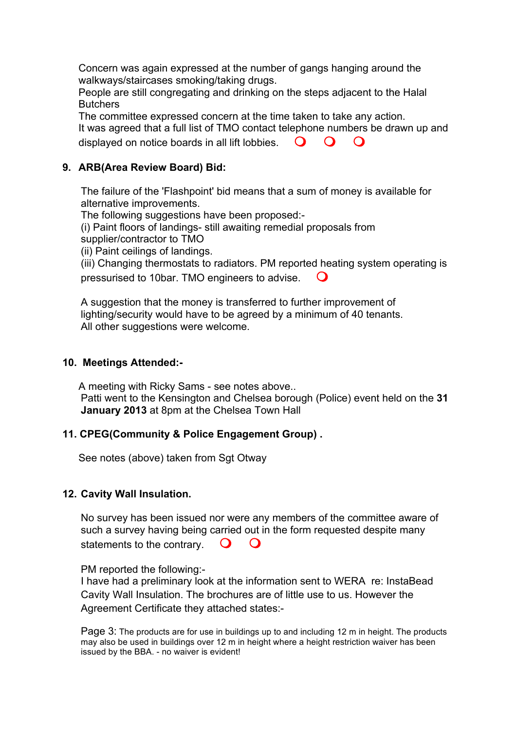Concern was again expressed at the number of gangs hanging around the walkways/staircases smoking/taking drugs.

People are still congregating and drinking on the steps adjacent to the Halal **Butchers** 

The committee expressed concern at the time taken to take any action. It was agreed that a full list of TMO contact telephone numbers be drawn up and displayed on notice boards in all lift lobbies.  $\Box$   $\Box$   $\Box$ 

## **9. ARB(Area Review Board) Bid:**

The failure of the 'Flashpoint' bid means that a sum of money is available for alternative improvements.

The following suggestions have been proposed:-

(i) Paint floors of landings- still awaiting remedial proposals from

supplier/contractor to TMO

(ii) Paint ceilings of landings.

(iii) Changing thermostats to radiators. PM reported heating system operating is pressurised to 10bar. TMO engineers to advise. m

A suggestion that the money is transferred to further improvement of lighting/security would have to be agreed by a minimum of 40 tenants. All other suggestions were welcome.

## **10. Meetings Attended:-**

A meeting with Ricky Sams - see notes above.. Patti went to the Kensington and Chelsea borough (Police) event held on the **31 January 2013** at 8pm at the Chelsea Town Hall

## **11. CPEG(Community & Police Engagement Group) .**

See notes (above) taken from Sgt Otway

## **12. Cavity Wall Insulation.**

No survey has been issued nor were any members of the committee aware of such a survey having being carried out in the form requested despite many statements to the contrary.  $\Box$ 

PM reported the following:-

I have had a preliminary look at the information sent to WERA re: InstaBead Cavity Wall Insulation. The brochures are of little use to us. However the Agreement Certificate they attached states:-

Page 3: The products are for use in buildings up to and including 12 m in height. The products may also be used in buildings over 12 m in height where a height restriction waiver has been issued by the BBA. - no waiver is evident!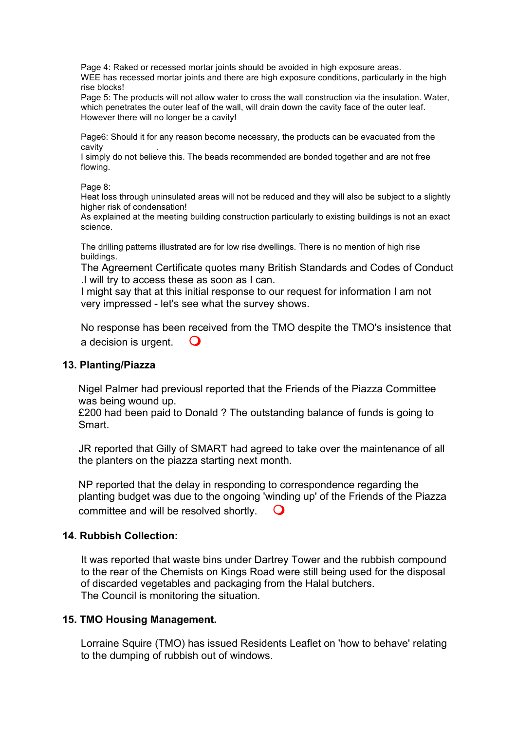Page 4: Raked or recessed mortar joints should be avoided in high exposure areas. WEE has recessed mortar joints and there are high exposure conditions, particularly in the high rise blocks!

Page 5: The products will not allow water to cross the wall construction via the insulation. Water, which penetrates the outer leaf of the wall, will drain down the cavity face of the outer leaf. However there will no longer be a cavity!

Page6: Should it for any reason become necessary, the products can be evacuated from the **cavity** 

I simply do not believe this. The beads recommended are bonded together and are not free flowing.

Page 8:

Heat loss through uninsulated areas will not be reduced and they will also be subject to a slightly higher risk of condensation!

As explained at the meeting building construction particularly to existing buildings is not an exact science.

The drilling patterns illustrated are for low rise dwellings. There is no mention of high rise buildings.

The Agreement Certificate quotes many British Standards and Codes of Conduct .I will try to access these as soon as I can.

I might say that at this initial response to our request for information I am not very impressed - let's see what the survey shows.

No response has been received from the TMO despite the TMO's insistence that a decision is urgent.  $\Box$ 

### **13. Planting/Piazza**

Nigel Palmer had previousl reported that the Friends of the Piazza Committee was being wound up.

£200 had been paid to Donald ? The outstanding balance of funds is going to Smart.

JR reported that Gilly of SMART had agreed to take over the maintenance of all the planters on the piazza starting next month.

NP reported that the delay in responding to correspondence regarding the planting budget was due to the ongoing 'winding up' of the Friends of the Piazza committee and will be resolved shortly.

### **14. Rubbish Collection:**

It was reported that waste bins under Dartrey Tower and the rubbish compound to the rear of the Chemists on Kings Road were still being used for the disposal of discarded vegetables and packaging from the Halal butchers. The Council is monitoring the situation.

### **15. TMO Housing Management.**

Lorraine Squire (TMO) has issued Residents Leaflet on 'how to behave' relating to the dumping of rubbish out of windows.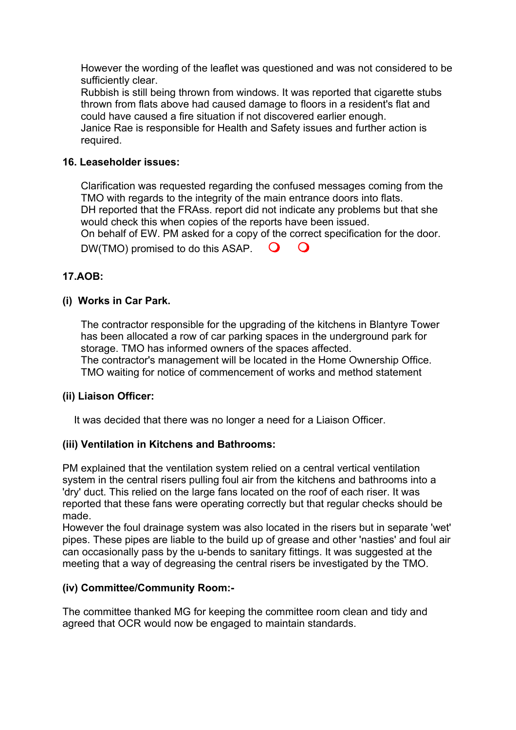However the wording of the leaflet was questioned and was not considered to be sufficiently clear.

Rubbish is still being thrown from windows. It was reported that cigarette stubs thrown from flats above had caused damage to floors in a resident's flat and could have caused a fire situation if not discovered earlier enough.

Janice Rae is responsible for Health and Safety issues and further action is required.

## **16. Leaseholder issues:**

Clarification was requested regarding the confused messages coming from the TMO with regards to the integrity of the main entrance doors into flats. DH reported that the FRAss. report did not indicate any problems but that she would check this when copies of the reports have been issued. On behalf of EW. PM asked for a copy of the correct specification for the door. DW(TMO) promised to do this ASAP.  $\bigcirc$   $\bigcirc$ 

**17.AOB:**

## **(i) Works in Car Park.**

The contractor responsible for the upgrading of the kitchens in Blantyre Tower has been allocated a row of car parking spaces in the underground park for storage. TMO has informed owners of the spaces affected. The contractor's management will be located in the Home Ownership Office. TMO waiting for notice of commencement of works and method statement

### **(ii) Liaison Officer:**

It was decided that there was no longer a need for a Liaison Officer.

### **(iii) Ventilation in Kitchens and Bathrooms:**

PM explained that the ventilation system relied on a central vertical ventilation system in the central risers pulling foul air from the kitchens and bathrooms into a 'dry' duct. This relied on the large fans located on the roof of each riser. It was reported that these fans were operating correctly but that regular checks should be made.

However the foul drainage system was also located in the risers but in separate 'wet' pipes. These pipes are liable to the build up of grease and other 'nasties' and foul air can occasionally pass by the u-bends to sanitary fittings. It was suggested at the meeting that a way of degreasing the central risers be investigated by the TMO.

### **(iv) Committee/Community Room:-**

The committee thanked MG for keeping the committee room clean and tidy and agreed that OCR would now be engaged to maintain standards.